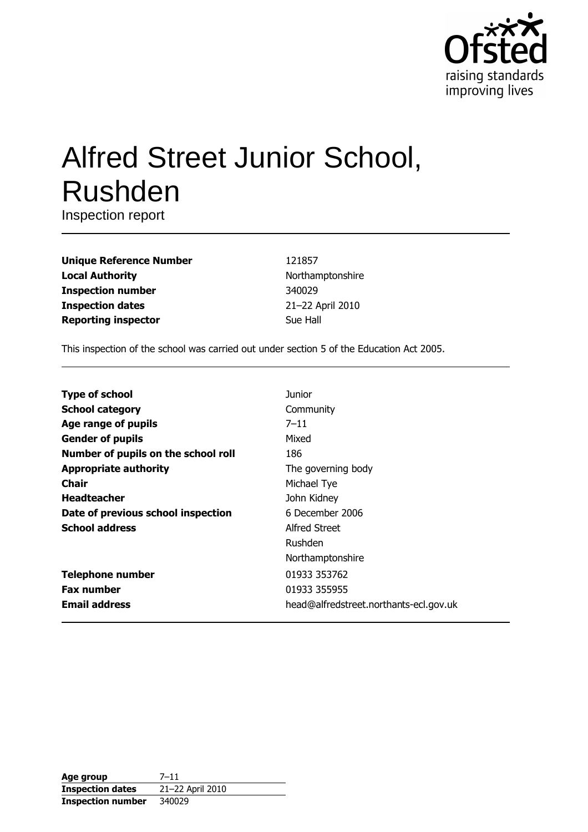

# **Alfred Street Junior School, Rushden**

Inspection report

| <b>Unique Reference Number</b> |
|--------------------------------|
| <b>Local Authority</b>         |
| <b>Inspection number</b>       |
| <b>Inspection dates</b>        |
| <b>Reporting inspector</b>     |

121857 Northamptonshire 340029 21-22 April 2010 Sue Hall

This inspection of the school was carried out under section 5 of the Education Act 2005.

| <b>Type of school</b>               | Junior                                 |
|-------------------------------------|----------------------------------------|
| <b>School category</b>              | Community                              |
| Age range of pupils                 | $7 - 11$                               |
| <b>Gender of pupils</b>             | Mixed                                  |
| Number of pupils on the school roll | 186                                    |
| <b>Appropriate authority</b>        | The governing body                     |
| <b>Chair</b>                        | Michael Tye                            |
| <b>Headteacher</b>                  | John Kidney                            |
| Date of previous school inspection  | 6 December 2006                        |
| <b>School address</b>               | Alfred Street                          |
|                                     | Rushden                                |
|                                     | Northamptonshire                       |
| <b>Telephone number</b>             | 01933 353762                           |
| <b>Fax number</b>                   | 01933 355955                           |
| <b>Email address</b>                | head@alfredstreet.northants-ecl.gov.uk |

| Age group                | $7 - 11$         |
|--------------------------|------------------|
| <b>Inspection dates</b>  | 21-22 April 2010 |
| <b>Inspection number</b> | 340029           |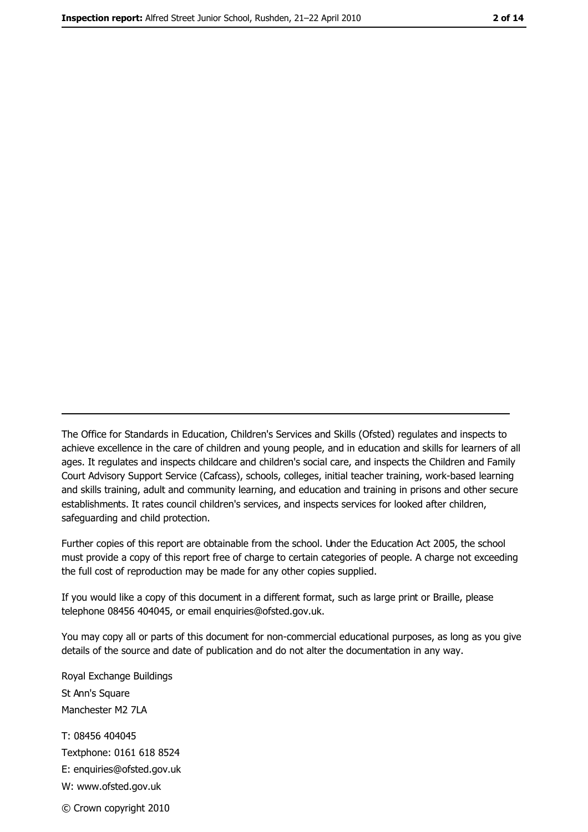The Office for Standards in Education, Children's Services and Skills (Ofsted) regulates and inspects to achieve excellence in the care of children and young people, and in education and skills for learners of all ages. It regulates and inspects childcare and children's social care, and inspects the Children and Family Court Advisory Support Service (Cafcass), schools, colleges, initial teacher training, work-based learning and skills training, adult and community learning, and education and training in prisons and other secure establishments. It rates council children's services, and inspects services for looked after children, safequarding and child protection.

Further copies of this report are obtainable from the school. Under the Education Act 2005, the school must provide a copy of this report free of charge to certain categories of people. A charge not exceeding the full cost of reproduction may be made for any other copies supplied.

If you would like a copy of this document in a different format, such as large print or Braille, please telephone 08456 404045, or email enquiries@ofsted.gov.uk.

You may copy all or parts of this document for non-commercial educational purposes, as long as you give details of the source and date of publication and do not alter the documentation in any way.

Royal Exchange Buildings St Ann's Square Manchester M2 7LA T: 08456 404045 Textphone: 0161 618 8524 E: enquiries@ofsted.gov.uk W: www.ofsted.gov.uk © Crown copyright 2010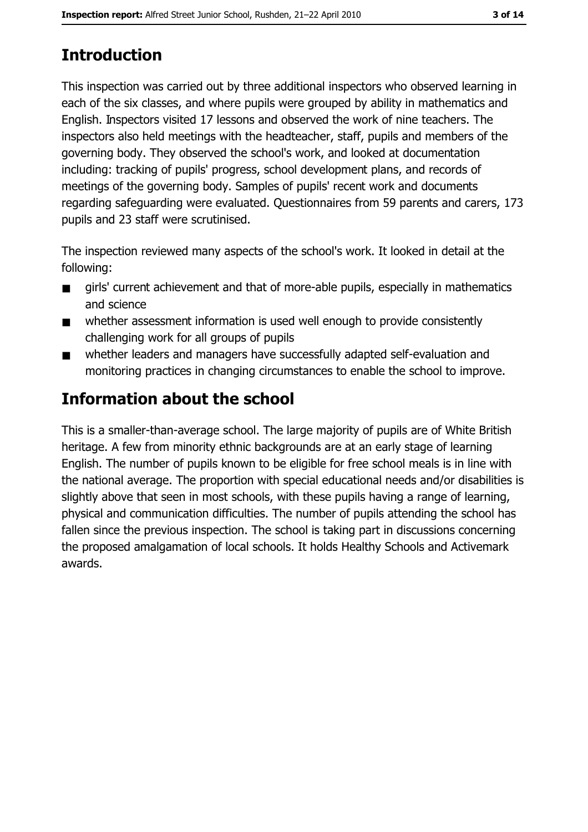# **Introduction**

This inspection was carried out by three additional inspectors who observed learning in each of the six classes, and where pupils were grouped by ability in mathematics and English. Inspectors visited 17 lessons and observed the work of nine teachers. The inspectors also held meetings with the headteacher, staff, pupils and members of the governing body. They observed the school's work, and looked at documentation including: tracking of pupils' progress, school development plans, and records of meetings of the governing body. Samples of pupils' recent work and documents regarding safeguarding were evaluated. Ouestionnaires from 59 parents and carers, 173 pupils and 23 staff were scrutinised.

The inspection reviewed many aspects of the school's work. It looked in detail at the following:

- $\blacksquare$ girls' current achievement and that of more-able pupils, especially in mathematics and science
- whether assessment information is used well enough to provide consistently  $\blacksquare$ challenging work for all groups of pupils
- whether leaders and managers have successfully adapted self-evaluation and  $\blacksquare$ monitoring practices in changing circumstances to enable the school to improve.

# **Information about the school**

This is a smaller-than-average school. The large majority of pupils are of White British heritage. A few from minority ethnic backgrounds are at an early stage of learning English. The number of pupils known to be eligible for free school meals is in line with the national average. The proportion with special educational needs and/or disabilities is slightly above that seen in most schools, with these pupils having a range of learning, physical and communication difficulties. The number of pupils attending the school has fallen since the previous inspection. The school is taking part in discussions concerning the proposed amalgamation of local schools. It holds Healthy Schools and Activemark awards.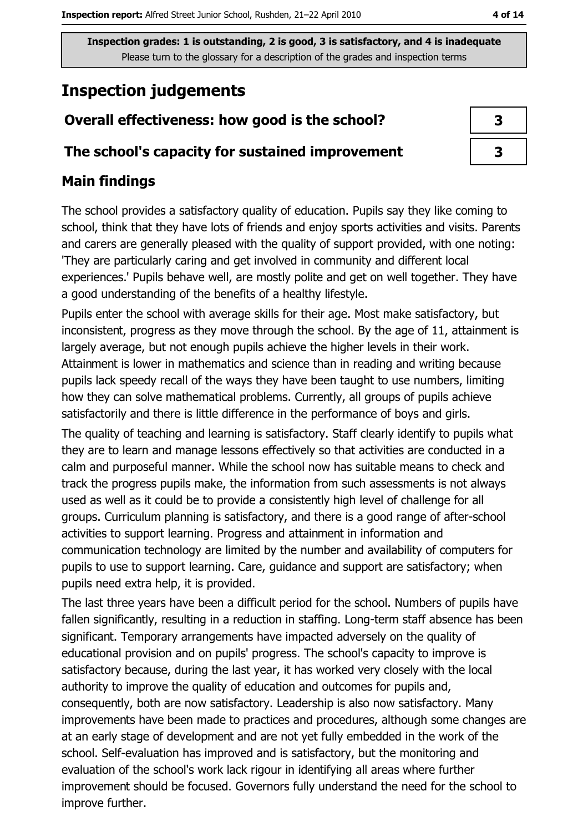# **Inspection judgements**

# Overall effectiveness: how good is the school?

### The school's capacity for sustained improvement

# **Main findings**

The school provides a satisfactory quality of education. Pupils say they like coming to school, think that they have lots of friends and enjoy sports activities and visits. Parents and carers are generally pleased with the quality of support provided, with one noting: They are particularly caring and get involved in community and different local experiences.' Pupils behave well, are mostly polite and get on well together. They have a good understanding of the benefits of a healthy lifestyle.

Pupils enter the school with average skills for their age. Most make satisfactory, but inconsistent, progress as they move through the school. By the age of 11, attainment is largely average, but not enough pupils achieve the higher levels in their work. Attainment is lower in mathematics and science than in reading and writing because pupils lack speedy recall of the ways they have been taught to use numbers, limiting how they can solve mathematical problems. Currently, all groups of pupils achieve satisfactorily and there is little difference in the performance of boys and girls.

The quality of teaching and learning is satisfactory. Staff clearly identify to pupils what they are to learn and manage lessons effectively so that activities are conducted in a calm and purposeful manner. While the school now has suitable means to check and track the progress pupils make, the information from such assessments is not always used as well as it could be to provide a consistently high level of challenge for all groups. Curriculum planning is satisfactory, and there is a good range of after-school activities to support learning. Progress and attainment in information and communication technology are limited by the number and availability of computers for pupils to use to support learning. Care, guidance and support are satisfactory; when pupils need extra help, it is provided.

The last three years have been a difficult period for the school. Numbers of pupils have fallen significantly, resulting in a reduction in staffing. Long-term staff absence has been significant. Temporary arrangements have impacted adversely on the quality of educational provision and on pupils' progress. The school's capacity to improve is satisfactory because, during the last year, it has worked very closely with the local authority to improve the quality of education and outcomes for pupils and, consequently, both are now satisfactory. Leadership is also now satisfactory. Many improvements have been made to practices and procedures, although some changes are at an early stage of development and are not yet fully embedded in the work of the school. Self-evaluation has improved and is satisfactory, but the monitoring and evaluation of the school's work lack rigour in identifying all areas where further improvement should be focused. Governors fully understand the need for the school to improve further.

| 3 |  |
|---|--|
| 3 |  |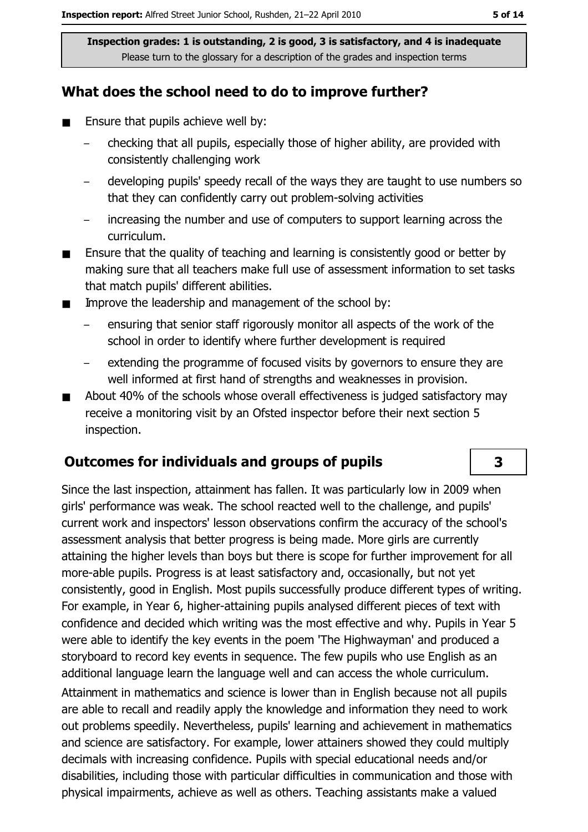### What does the school need to do to improve further?

- Ensure that pupils achieve well by:  $\blacksquare$ 
	- checking that all pupils, especially those of higher ability, are provided with consistently challenging work
	- developing pupils' speedy recall of the ways they are taught to use numbers so that they can confidently carry out problem-solving activities
	- increasing the number and use of computers to support learning across the  $\equiv$ curriculum.
- Ensure that the quality of teaching and learning is consistently good or better by  $\blacksquare$ making sure that all teachers make full use of assessment information to set tasks that match pupils' different abilities.
- Improve the leadership and management of the school by:  $\blacksquare$ 
	- ensuring that senior staff rigorously monitor all aspects of the work of the school in order to identify where further development is required
	- extending the programme of focused visits by governors to ensure they are well informed at first hand of strengths and weaknesses in provision.
- About 40% of the schools whose overall effectiveness is judged satisfactory may receive a monitoring visit by an Ofsted inspector before their next section 5 inspection.

### **Outcomes for individuals and groups of pupils**

Since the last inspection, attainment has fallen. It was particularly low in 2009 when girls' performance was weak. The school reacted well to the challenge, and pupils' current work and inspectors' lesson observations confirm the accuracy of the school's assessment analysis that better progress is being made. More girls are currently attaining the higher levels than boys but there is scope for further improvement for all more-able pupils. Progress is at least satisfactory and, occasionally, but not yet consistently, good in English. Most pupils successfully produce different types of writing. For example, in Year 6, higher-attaining pupils analysed different pieces of text with confidence and decided which writing was the most effective and why. Pupils in Year 5 were able to identify the key events in the poem 'The Highwayman' and produced a storyboard to record key events in sequence. The few pupils who use English as an additional language learn the language well and can access the whole curriculum.

Attainment in mathematics and science is lower than in English because not all pupils are able to recall and readily apply the knowledge and information they need to work out problems speedily. Nevertheless, pupils' learning and achievement in mathematics and science are satisfactory. For example, lower attainers showed they could multiply decimals with increasing confidence. Pupils with special educational needs and/or disabilities, including those with particular difficulties in communication and those with physical impairments, achieve as well as others. Teaching assistants make a valued

 $\overline{\mathbf{3}}$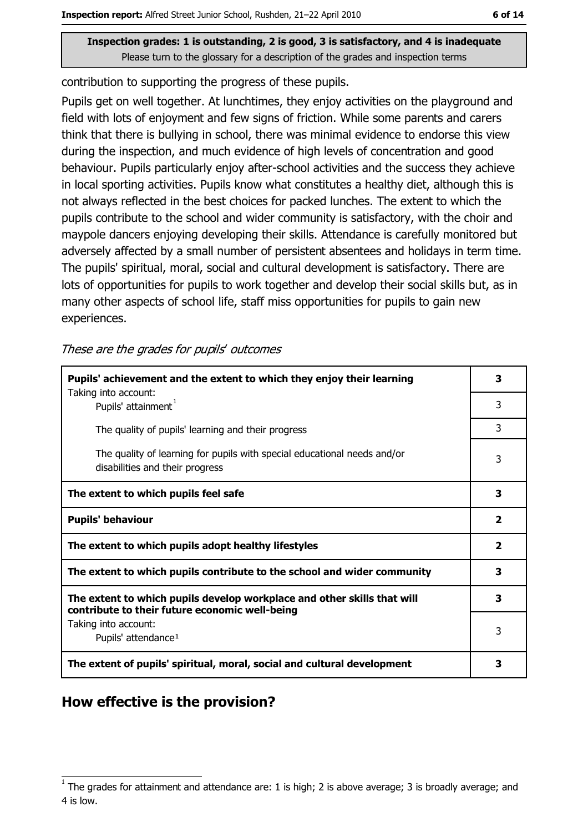contribution to supporting the progress of these pupils.

Pupils get on well together. At lunchtimes, they enjoy activities on the playground and field with lots of enjoyment and few signs of friction. While some parents and carers think that there is bullying in school, there was minimal evidence to endorse this view during the inspection, and much evidence of high levels of concentration and good behaviour. Pupils particularly enjoy after-school activities and the success they achieve in local sporting activities. Pupils know what constitutes a healthy diet, although this is not always reflected in the best choices for packed lunches. The extent to which the pupils contribute to the school and wider community is satisfactory, with the choir and maypole dancers enjoying developing their skills. Attendance is carefully monitored but adversely affected by a small number of persistent absentees and holidays in term time. The pupils' spiritual, moral, social and cultural development is satisfactory. There are lots of opportunities for pupils to work together and develop their social skills but, as in many other aspects of school life, staff miss opportunities for pupils to gain new experiences.

These are the grades for pupils' outcomes

| Pupils' achievement and the extent to which they enjoy their learning                                                     |                         |  |
|---------------------------------------------------------------------------------------------------------------------------|-------------------------|--|
| Taking into account:<br>Pupils' attainment <sup>1</sup>                                                                   | 3                       |  |
| The quality of pupils' learning and their progress                                                                        | 3                       |  |
| The quality of learning for pupils with special educational needs and/or<br>disabilities and their progress               | 3                       |  |
| The extent to which pupils feel safe                                                                                      | 3                       |  |
| <b>Pupils' behaviour</b>                                                                                                  | $\overline{\mathbf{2}}$ |  |
| The extent to which pupils adopt healthy lifestyles                                                                       | $\mathbf{2}$            |  |
| The extent to which pupils contribute to the school and wider community                                                   | 3                       |  |
| The extent to which pupils develop workplace and other skills that will<br>contribute to their future economic well-being | 3                       |  |
| Taking into account:<br>Pupils' attendance <sup>1</sup>                                                                   | 3                       |  |
| The extent of pupils' spiritual, moral, social and cultural development                                                   | 3                       |  |

### How effective is the provision?

The grades for attainment and attendance are: 1 is high; 2 is above average; 3 is broadly average; and 4 is low.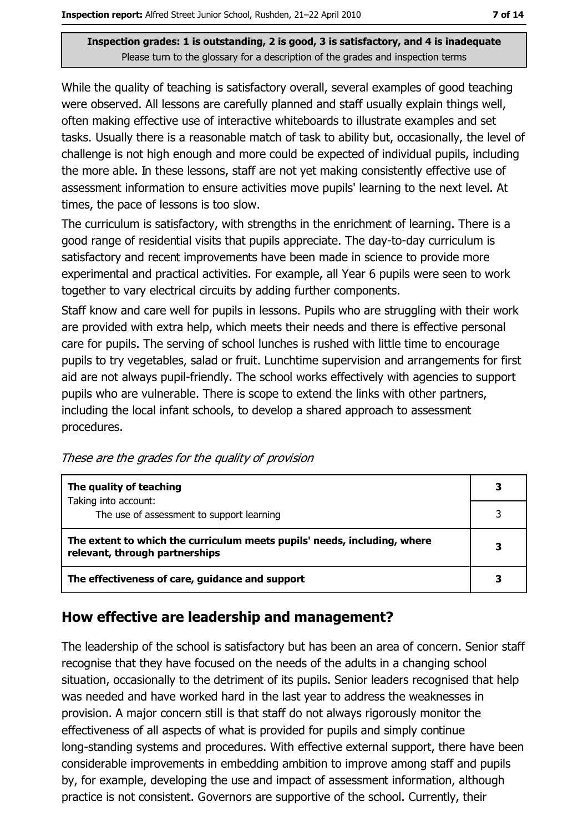While the quality of teaching is satisfactory overall, several examples of good teaching were observed. All lessons are carefully planned and staff usually explain things well, often making effective use of interactive whiteboards to illustrate examples and set tasks. Usually there is a reasonable match of task to ability but, occasionally, the level of challenge is not high enough and more could be expected of individual pupils, including the more able. In these lessons, staff are not yet making consistently effective use of assessment information to ensure activities move pupils' learning to the next level. At times, the pace of lessons is too slow.

The curriculum is satisfactory, with strengths in the enrichment of learning. There is a good range of residential visits that pupils appreciate. The day-to-day curriculum is satisfactory and recent improvements have been made in science to provide more experimental and practical activities. For example, all Year 6 pupils were seen to work together to vary electrical circuits by adding further components.

Staff know and care well for pupils in lessons. Pupils who are struggling with their work are provided with extra help, which meets their needs and there is effective personal care for pupils. The serving of school lunches is rushed with little time to encourage pupils to try vegetables, salad or fruit. Lunchtime supervision and arrangements for first aid are not always pupil-friendly. The school works effectively with agencies to support pupils who are vulnerable. There is scope to extend the links with other partners, including the local infant schools, to develop a shared approach to assessment procedures.

| The quality of teaching<br>Taking into account:                                                            |  |
|------------------------------------------------------------------------------------------------------------|--|
| The use of assessment to support learning                                                                  |  |
| The extent to which the curriculum meets pupils' needs, including, where<br>relevant, through partnerships |  |
| The effectiveness of care, guidance and support                                                            |  |

These are the grades for the quality of provision

# How effective are leadership and management?

The leadership of the school is satisfactory but has been an area of concern. Senior staff recognise that they have focused on the needs of the adults in a changing school situation, occasionally to the detriment of its pupils. Senior leaders recognised that help was needed and have worked hard in the last year to address the weaknesses in provision. A major concern still is that staff do not always rigorously monitor the effectiveness of all aspects of what is provided for pupils and simply continue long-standing systems and procedures. With effective external support, there have been considerable improvements in embedding ambition to improve among staff and pupils by, for example, developing the use and impact of assessment information, although practice is not consistent. Governors are supportive of the school. Currently, their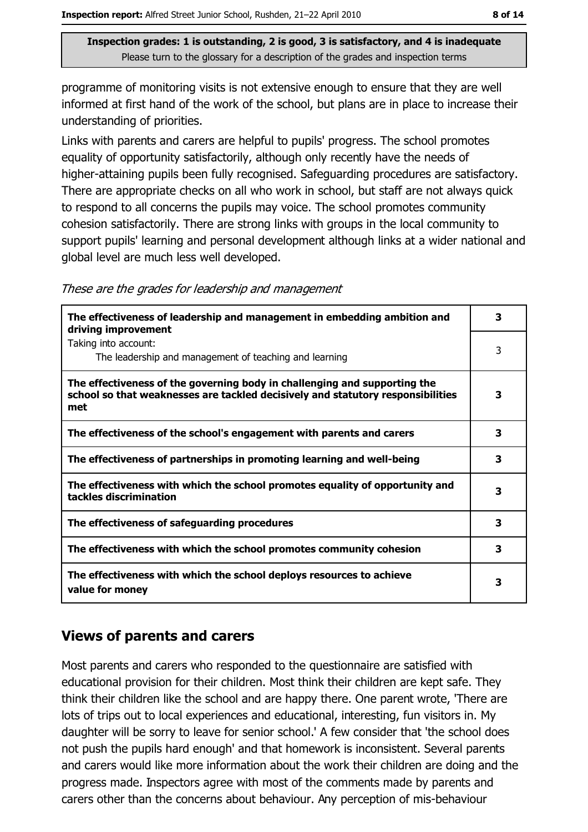programme of monitoring visits is not extensive enough to ensure that they are well informed at first hand of the work of the school, but plans are in place to increase their understanding of priorities.

Links with parents and carers are helpful to pupils' progress. The school promotes equality of opportunity satisfactorily, although only recently have the needs of higher-attaining pupils been fully recognised. Safeguarding procedures are satisfactory. There are appropriate checks on all who work in school, but staff are not always quick to respond to all concerns the pupils may voice. The school promotes community cohesion satisfactorily. There are strong links with groups in the local community to support pupils' learning and personal development although links at a wider national and global level are much less well developed.

|  |  | These are the grades for leadership and management |
|--|--|----------------------------------------------------|
|  |  |                                                    |

| The effectiveness of leadership and management in embedding ambition and<br>driving improvement                                                                     | 3 |
|---------------------------------------------------------------------------------------------------------------------------------------------------------------------|---|
| Taking into account:<br>The leadership and management of teaching and learning                                                                                      | 3 |
| The effectiveness of the governing body in challenging and supporting the<br>school so that weaknesses are tackled decisively and statutory responsibilities<br>met | 3 |
| The effectiveness of the school's engagement with parents and carers                                                                                                | 3 |
| The effectiveness of partnerships in promoting learning and well-being                                                                                              | 3 |
| The effectiveness with which the school promotes equality of opportunity and<br>tackles discrimination                                                              | 3 |
| The effectiveness of safeguarding procedures                                                                                                                        | 3 |
| The effectiveness with which the school promotes community cohesion                                                                                                 | 3 |
| The effectiveness with which the school deploys resources to achieve<br>value for money                                                                             | 3 |

#### **Views of parents and carers**

Most parents and carers who responded to the questionnaire are satisfied with educational provision for their children. Most think their children are kept safe. They think their children like the school and are happy there. One parent wrote, 'There are lots of trips out to local experiences and educational, interesting, fun visitors in. My daughter will be sorry to leave for senior school.' A few consider that 'the school does not push the pupils hard enough' and that homework is inconsistent. Several parents and carers would like more information about the work their children are doing and the progress made. Inspectors agree with most of the comments made by parents and carers other than the concerns about behaviour. Any perception of mis-behaviour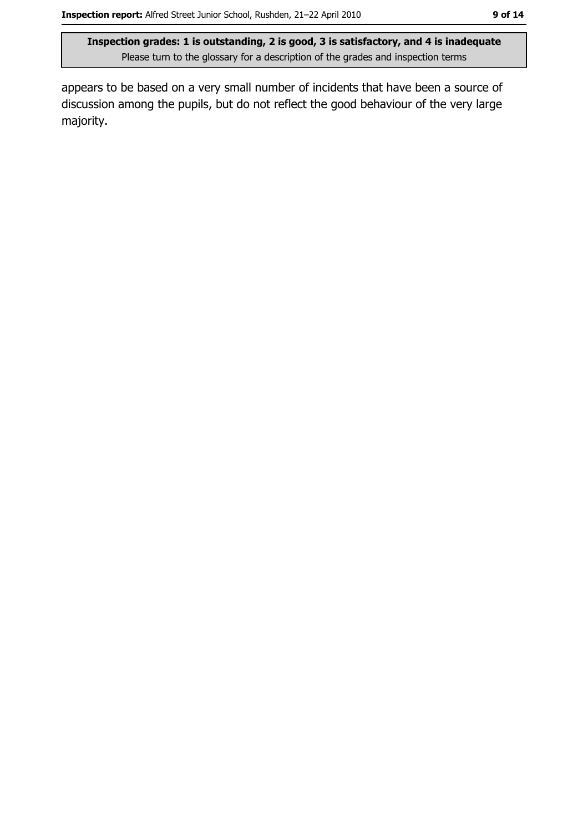appears to be based on a very small number of incidents that have been a source of discussion among the pupils, but do not reflect the good behaviour of the very large majority.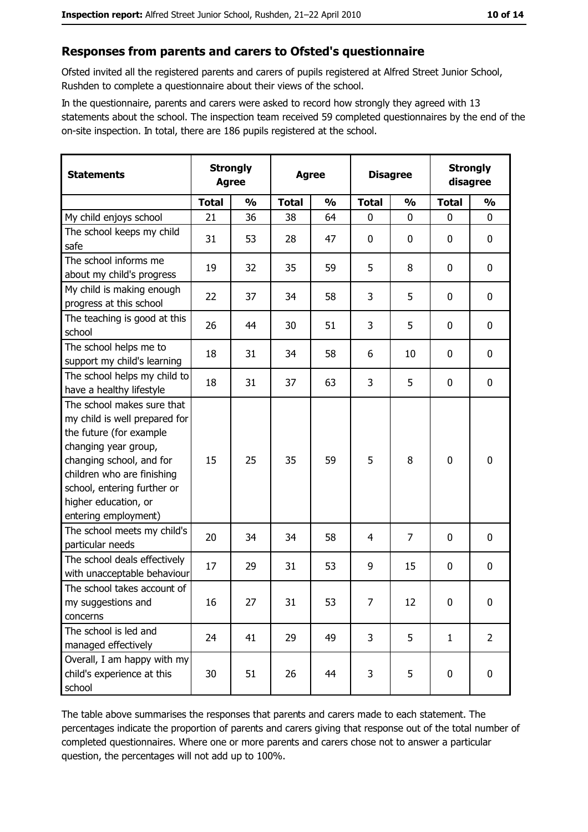#### Responses from parents and carers to Ofsted's questionnaire

Ofsted invited all the registered parents and carers of pupils registered at Alfred Street Junior School, Rushden to complete a questionnaire about their views of the school.

In the questionnaire, parents and carers were asked to record how strongly they agreed with 13 statements about the school. The inspection team received 59 completed questionnaires by the end of the on-site inspection. In total, there are 186 pupils registered at the school.

| <b>Statements</b>                                                                                                                                                                                                                                       | <b>Strongly</b><br><b>Agree</b> |               | <b>Agree</b> |               | <b>Disagree</b> |               | <b>Strongly</b><br>disagree |                |
|---------------------------------------------------------------------------------------------------------------------------------------------------------------------------------------------------------------------------------------------------------|---------------------------------|---------------|--------------|---------------|-----------------|---------------|-----------------------------|----------------|
|                                                                                                                                                                                                                                                         | <b>Total</b>                    | $\frac{1}{2}$ | <b>Total</b> | $\frac{0}{0}$ | <b>Total</b>    | $\frac{0}{0}$ | <b>Total</b>                | $\frac{0}{0}$  |
| My child enjoys school                                                                                                                                                                                                                                  | 21                              | 36            | 38           | 64            | $\mathbf 0$     | 0             | $\mathbf 0$                 | $\mathbf 0$    |
| The school keeps my child<br>safe                                                                                                                                                                                                                       | 31                              | 53            | 28           | 47            | $\mathbf 0$     | 0             | 0                           | 0              |
| The school informs me<br>about my child's progress                                                                                                                                                                                                      | 19                              | 32            | 35           | 59            | 5               | 8             | 0                           | 0              |
| My child is making enough<br>progress at this school                                                                                                                                                                                                    | 22                              | 37            | 34           | 58            | 3               | 5             | 0                           | $\mathbf 0$    |
| The teaching is good at this<br>school                                                                                                                                                                                                                  | 26                              | 44            | 30           | 51            | 3               | 5             | 0                           | $\mathbf 0$    |
| The school helps me to<br>support my child's learning                                                                                                                                                                                                   | 18                              | 31            | 34           | 58            | 6               | 10            | 0                           | $\mathbf 0$    |
| The school helps my child to<br>have a healthy lifestyle                                                                                                                                                                                                | 18                              | 31            | 37           | 63            | 3               | 5             | 0                           | 0              |
| The school makes sure that<br>my child is well prepared for<br>the future (for example<br>changing year group,<br>changing school, and for<br>children who are finishing<br>school, entering further or<br>higher education, or<br>entering employment) | 15                              | 25            | 35           | 59            | 5               | 8             | 0                           | $\mathbf 0$    |
| The school meets my child's<br>particular needs                                                                                                                                                                                                         | 20                              | 34            | 34           | 58            | 4               | 7             | 0                           | $\mathbf 0$    |
| The school deals effectively<br>with unacceptable behaviour                                                                                                                                                                                             | 17                              | 29            | 31           | 53            | 9               | 15            | 0                           | 0              |
| The school takes account of<br>my suggestions and<br>concerns                                                                                                                                                                                           | 16                              | 27            | 31           | 53            | 7               | 12            | 0                           | 0              |
| The school is led and<br>managed effectively                                                                                                                                                                                                            | 24                              | 41            | 29           | 49            | 3               | 5             | 1                           | $\overline{2}$ |
| Overall, I am happy with my<br>child's experience at this<br>school                                                                                                                                                                                     | 30                              | 51            | 26           | 44            | 3               | 5             | 0                           | $\pmb{0}$      |

The table above summarises the responses that parents and carers made to each statement. The percentages indicate the proportion of parents and carers giving that response out of the total number of completed questionnaires. Where one or more parents and carers chose not to answer a particular question, the percentages will not add up to 100%.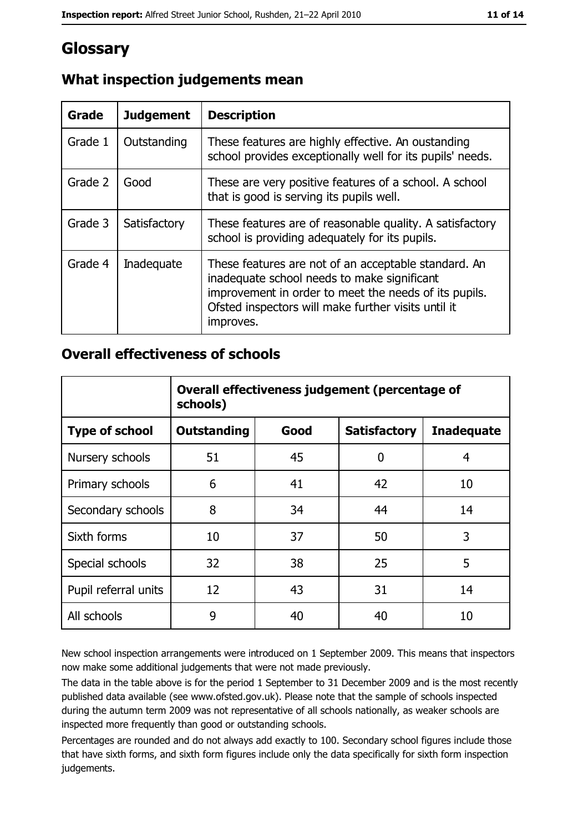# Glossary

| Grade   | <b>Judgement</b> | <b>Description</b>                                                                                                                                                                                                               |
|---------|------------------|----------------------------------------------------------------------------------------------------------------------------------------------------------------------------------------------------------------------------------|
| Grade 1 | Outstanding      | These features are highly effective. An oustanding<br>school provides exceptionally well for its pupils' needs.                                                                                                                  |
| Grade 2 | Good             | These are very positive features of a school. A school<br>that is good is serving its pupils well.                                                                                                                               |
| Grade 3 | Satisfactory     | These features are of reasonable quality. A satisfactory<br>school is providing adequately for its pupils.                                                                                                                       |
| Grade 4 | Inadequate       | These features are not of an acceptable standard. An<br>inadequate school needs to make significant<br>improvement in order to meet the needs of its pupils.<br>Ofsted inspectors will make further visits until it<br>improves. |

# What inspection judgements mean

### **Overall effectiveness of schools**

|                       | Overall effectiveness judgement (percentage of<br>schools) |      |                     |                   |
|-----------------------|------------------------------------------------------------|------|---------------------|-------------------|
| <b>Type of school</b> | <b>Outstanding</b>                                         | Good | <b>Satisfactory</b> | <b>Inadequate</b> |
| Nursery schools       | 51                                                         | 45   | 0                   | 4                 |
| Primary schools       | 6                                                          | 41   | 42                  | 10                |
| Secondary schools     | 8                                                          | 34   | 44                  | 14                |
| Sixth forms           | 10                                                         | 37   | 50                  | 3                 |
| Special schools       | 32                                                         | 38   | 25                  | 5                 |
| Pupil referral units  | 12                                                         | 43   | 31                  | 14                |
| All schools           | 9                                                          | 40   | 40                  | 10                |

New school inspection arrangements were introduced on 1 September 2009. This means that inspectors now make some additional judgements that were not made previously.

The data in the table above is for the period 1 September to 31 December 2009 and is the most recently published data available (see www.ofsted.gov.uk). Please note that the sample of schools inspected during the autumn term 2009 was not representative of all schools nationally, as weaker schools are inspected more frequently than good or outstanding schools.

Percentages are rounded and do not always add exactly to 100. Secondary school figures include those that have sixth forms, and sixth form figures include only the data specifically for sixth form inspection judgements.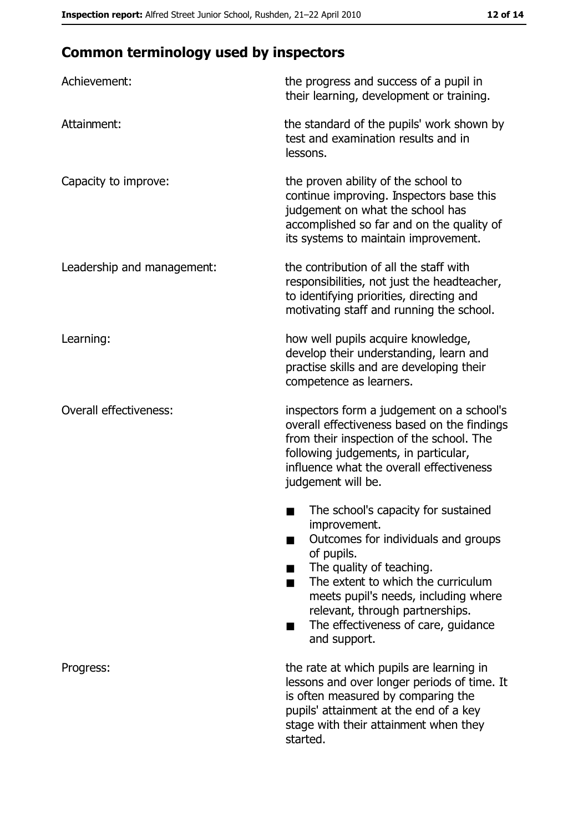# **Common terminology used by inspectors**

| Achievement:                  | the progress and success of a pupil in<br>their learning, development or training.                                                                                                                                                                                                                           |
|-------------------------------|--------------------------------------------------------------------------------------------------------------------------------------------------------------------------------------------------------------------------------------------------------------------------------------------------------------|
| Attainment:                   | the standard of the pupils' work shown by<br>test and examination results and in<br>lessons.                                                                                                                                                                                                                 |
| Capacity to improve:          | the proven ability of the school to<br>continue improving. Inspectors base this<br>judgement on what the school has<br>accomplished so far and on the quality of<br>its systems to maintain improvement.                                                                                                     |
| Leadership and management:    | the contribution of all the staff with<br>responsibilities, not just the headteacher,<br>to identifying priorities, directing and<br>motivating staff and running the school.                                                                                                                                |
| Learning:                     | how well pupils acquire knowledge,<br>develop their understanding, learn and<br>practise skills and are developing their<br>competence as learners.                                                                                                                                                          |
| <b>Overall effectiveness:</b> | inspectors form a judgement on a school's<br>overall effectiveness based on the findings<br>from their inspection of the school. The<br>following judgements, in particular,<br>influence what the overall effectiveness<br>judgement will be.                                                               |
|                               | The school's capacity for sustained<br>improvement.<br>Outcomes for individuals and groups<br>of pupils.<br>The quality of teaching.<br>The extent to which the curriculum<br>meets pupil's needs, including where<br>relevant, through partnerships.<br>The effectiveness of care, guidance<br>and support. |
| Progress:                     | the rate at which pupils are learning in<br>lessons and over longer periods of time. It<br>is often measured by comparing the<br>pupils' attainment at the end of a key<br>stage with their attainment when they<br>started.                                                                                 |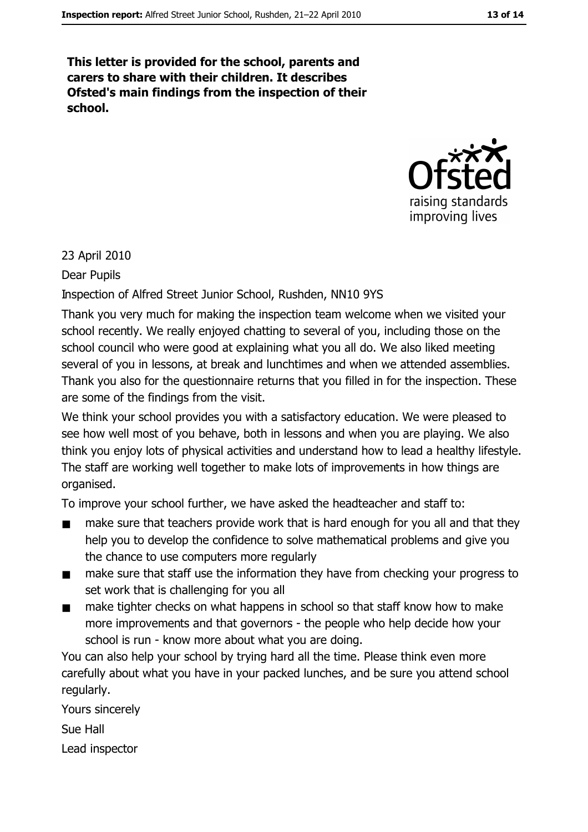This letter is provided for the school, parents and carers to share with their children. It describes Ofsted's main findings from the inspection of their school.



#### 23 April 2010

Dear Pupils

Inspection of Alfred Street Junior School, Rushden, NN10 9YS

Thank you very much for making the inspection team welcome when we visited your school recently. We really enjoyed chatting to several of you, including those on the school council who were good at explaining what you all do. We also liked meeting several of you in lessons, at break and lunchtimes and when we attended assemblies. Thank you also for the questionnaire returns that you filled in for the inspection. These are some of the findings from the visit.

We think your school provides you with a satisfactory education. We were pleased to see how well most of you behave, both in lessons and when you are playing. We also think you enjoy lots of physical activities and understand how to lead a healthy lifestyle. The staff are working well together to make lots of improvements in how things are organised.

To improve your school further, we have asked the headteacher and staff to:

- make sure that teachers provide work that is hard enough for you all and that they help you to develop the confidence to solve mathematical problems and give you the chance to use computers more regularly
- make sure that staff use the information they have from checking your progress to  $\blacksquare$ set work that is challenging for you all
- make tighter checks on what happens in school so that staff know how to make  $\blacksquare$ more improvements and that governors - the people who help decide how your school is run - know more about what you are doing.

You can also help your school by trying hard all the time. Please think even more carefully about what you have in your packed lunches, and be sure you attend school regularly.

Yours sincerely Sue Hall Lead inspector